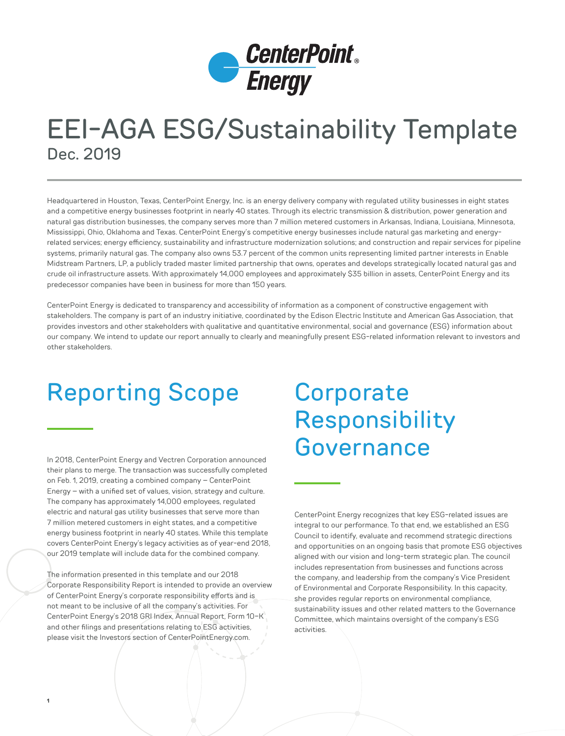

## EEI-AGA ESG/Sustainability Template Dec. 2019

Headquartered in Houston, Texas, CenterPoint Energy, Inc. is an energy delivery company with regulated utility businesses in eight states and a competitive energy businesses footprint in nearly 40 states. Through its electric transmission & distribution, power generation and natural gas distribution businesses, the company serves more than 7 million metered customers in Arkansas, Indiana, Louisiana, Minnesota, Mississippi, Ohio, Oklahoma and Texas. CenterPoint Energy's competitive energy businesses include natural gas marketing and energyrelated services; energy efficiency, sustainability and infrastructure modernization solutions; and construction and repair services for pipeline systems, primarily natural gas. The company also owns 53.7 percent of the common units representing limited partner interests in Enable Midstream Partners, LP, a publicly traded master limited partnership that owns, operates and develops strategically located natural gas and crude oil infrastructure assets. With approximately 14,000 employees and approximately \$35 billion in assets, CenterPoint Energy and its predecessor companies have been in business for more than 150 years.

CenterPoint Energy is dedicated to transparency and accessibility of information as a component of constructive engagement with stakeholders. The company is part of an industry initiative, coordinated by the Edison Electric Institute and American Gas Association, that provides investors and other stakeholders with qualitative and quantitative environmental, social and governance (ESG) information about our company. We intend to update our report annually to clearly and meaningfully present ESG-related information relevant to investors and other stakeholders.

# Reporting Scope

In 2018, CenterPoint Energy and Vectren Corporation announced their plans to merge. The transaction was successfully completed on Feb. 1, 2019, creating a combined company – CenterPoint Energy – with a unified set of values, vision, strategy and culture. The company has approximately 14,000 employees, regulated electric and natural gas utility businesses that serve more than 7 million metered customers in eight states, and a competitive energy business footprint in nearly 40 states. While this template covers CenterPoint Energy's legacy activities as of year-end 2018, our 2019 template will include data for the combined company.

The information presented in this template and our [2018](http://investors.centerpointenergy.com/static-files/82c57a89-1fc3-43af-ac9e-9cabfb21f070)  [Corporate Responsibility Report](http://investors.centerpointenergy.com/static-files/82c57a89-1fc3-43af-ac9e-9cabfb21f070) is intended to provide an overview of CenterPoint Energy's corporate responsibility efforts and is not meant to be inclusive of all the company's activities. For CenterPoint Energy's 2018 GRI Index, Annual Report, Form 10-K and other filings and presentations relating to ESG activities, please visit the [Investors section](http://investors.centerpointenergy.com/events) of CenterPointEnergy.com.

**1**

# **Corporate** Responsibility Governance

CenterPoint Energy recognizes that key ESG-related issues are integral to our performance. To that end, we established an ESG Council to identify, evaluate and recommend strategic directions and opportunities on an ongoing basis that promote ESG objectives aligned with our vision and long-term strategic plan. The council includes representation from businesses and functions across the company, and leadership from the company's Vice President of Environmental and Corporate Responsibility. In this capacity, she provides regular reports on environmental compliance, sustainability issues and other related matters to the Governance Committee, which maintains oversight of the company's ESG activities.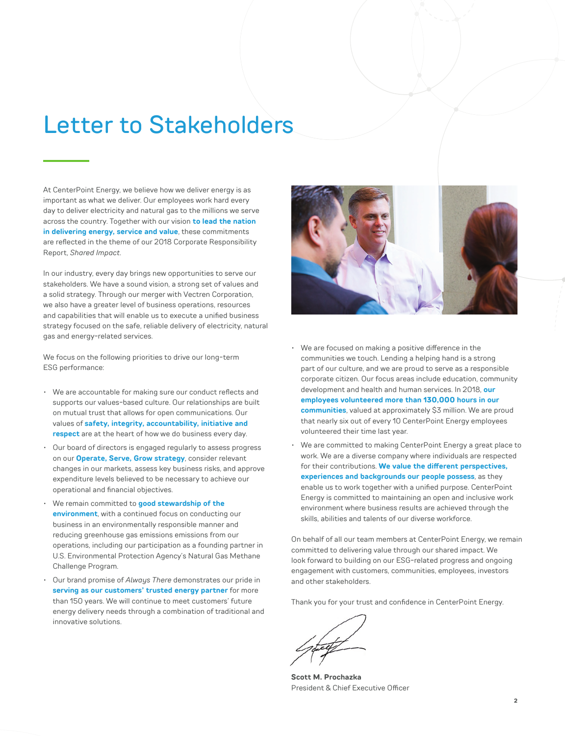## Letter to Stakeholders

At CenterPoint Energy, we believe how we deliver energy is as important as what we deliver. Our employees work hard every day to deliver electricity and natural gas to the millions we serve across the country. Together with our vision **to lead the nation in delivering energy, service and value**, these commitments are reflected in the theme of our [2018 Corporate Responsibility](http://investors.centerpointenergy.com/static-files/82c57a89-1fc3-43af-ac9e-9cabfb21f070)  Report, *[Shared Impact](http://investors.centerpointenergy.com/static-files/82c57a89-1fc3-43af-ac9e-9cabfb21f070)*.

In our industry, every day brings new opportunities to serve our stakeholders. We have a sound vision, a strong set of values and a solid strategy. Through our merger with Vectren Corporation, we also have a greater level of business operations, resources and capabilities that will enable us to execute a unified business strategy focused on the safe, reliable delivery of electricity, natural gas and energy-related services.

We focus on the following priorities to drive our long-term ESG performance:

- We are accountable for making sure our conduct reflects and supports our values-based culture. Our relationships are built on mutual trust that allows for open communications. Our values of **safety, integrity, accountability, initiative and respect** are at the heart of how we do business every day.
- Our board of directors is engaged regularly to assess progress on our **Operate, Serve, Grow strategy**, consider relevant changes in our markets, assess key business risks, and approve expenditure levels believed to be necessary to achieve our operational and financial objectives.
- We remain committed to **good stewardship of the environment**, with a continued focus on conducting our business in an environmentally responsible manner and reducing greenhouse gas emissions emissions from our operations, including our participation as a founding partner in U.S. Environmental Protection Agency's Natural Gas Methane Challenge Program.
- Our brand promise of *Always There* demonstrates our pride in **serving as our customers' trusted energy partner** for more than 150 years. We will continue to meet customers' future energy delivery needs through a combination of traditional and innovative solutions.



- We are focused on making a positive difference in the communities we touch. Lending a helping hand is a strong part of our culture, and we are proud to serve as a responsible corporate citizen. Our focus areas include education, community development and health and human services. In 2018, **our employees volunteered more than 130,000 hours in our communities**, valued at approximately \$3 million. We are proud that nearly six out of every 10 CenterPoint Energy employees volunteered their time last year.
- We are committed to making CenterPoint Energy a great place to work. We are a diverse company where individuals are respected for their contributions. **We value the different perspectives, experiences and backgrounds our people possess**, as they enable us to work together with a unified purpose. CenterPoint Energy is committed to maintaining an open and inclusive work environment where business results are achieved through the skills, abilities and talents of our diverse workforce.

On behalf of all our team members at CenterPoint Energy, we remain committed to delivering value through our shared impact. We look forward to building on our ESG-related progress and ongoing engagement with customers, communities, employees, investors and other stakeholders.

Thank you for your trust and confidence in CenterPoint Energy.

**Scott M. Prochazka** President & Chief Executive Officer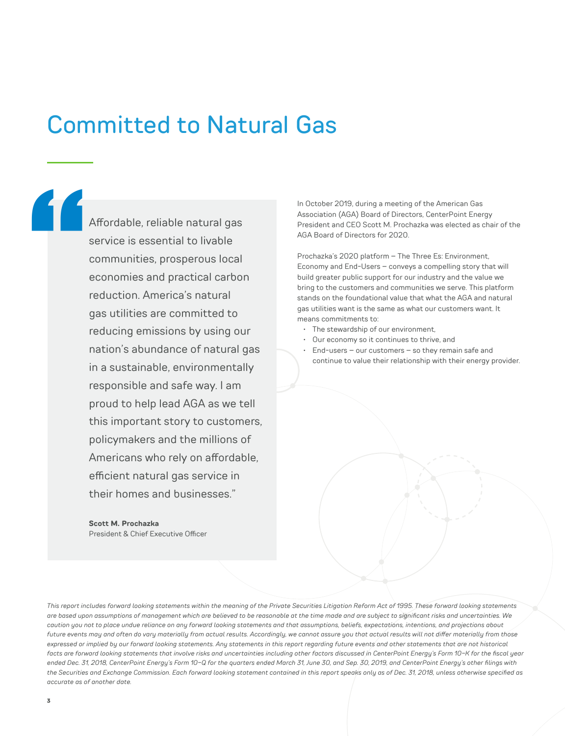## Committed to Natural Gas

"<br>"<br>|<br>|

Affordable, reliable natural gas service is essential to livable communities, prosperous local economies and practical carbon reduction. America's natural gas utilities are committed to reducing emissions by using our nation's abundance of natural gas in a sustainable, environmentally responsible and safe way. I am proud to help lead AGA as we tell this important story to customers, policymakers and the millions of Americans who rely on affordable, efficient natural gas service in their homes and businesses."

**Scott M. Prochazka** President & Chief Executive Officer In October 2019, during a meeting of the American Gas Association (AGA) Board of Directors, CenterPoint Energy President and CEO Scott M. Prochazka was elected as chair of the AGA Board of Directors for 2020.

Prochazka's 2020 platform – The Three Es: Environment, Economy and End-Users – conveys a compelling story that will build greater public support for our industry and the value we bring to the customers and communities we serve. This platform stands on the foundational value that what the AGA and natural gas utilities want is the same as what our customers want. It means commitments to:

- The stewardship of our environment,
- Our economy so it continues to thrive, and
- $End$ -users our customers so they remain safe and continue to value their relationship with their energy provider.

*This report includes forward looking statements within the meaning of the Private Securities Litigation Reform Act of 1995. These forward looking statements are based upon assumptions of management which are believed to be reasonable at the time made and are subject to significant risks and uncertainties. We caution you not to place undue reliance on any forward looking statements and that assumptions, beliefs, expectations, intentions, and projections about future events may and often do vary materially from actual results. Accordingly, we cannot assure you that actual results will not differ materially from those expressed or implied by our forward looking statements. Any statements in this report regarding future events and other statements that are not historical facts are forward looking statements that involve risks and uncertainties including other factors discussed in CenterPoint Energy's Form 10-K for the fiscal year ended Dec. 31, 2018, CenterPoint Energy's Form 10-Q for the quarters ended March 31, June 30, and Sep. 30, 2019, and CenterPoint Energy's other filings with the Securities and Exchange Commission. Each forward looking statement contained in this report speaks only as of Dec. 31, 2018, unless otherwise specified as accurate as of another date.*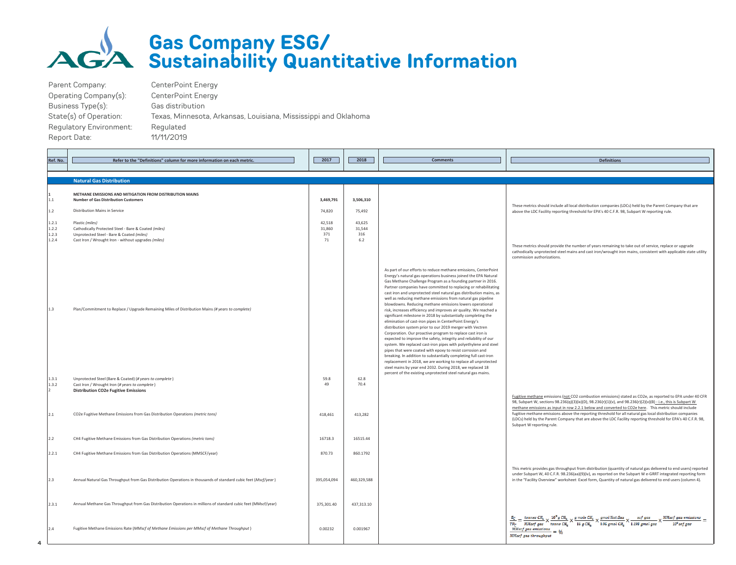

#### **Gas Company ESG/ Sustainability Quantitative Information**

| Parent Company:         | CenterPoint Energy                                              |
|-------------------------|-----------------------------------------------------------------|
| Operating Company(s):   | CenterPoint Energy                                              |
| Business Type(s):       | Gas distribution                                                |
| State(s) of Operation:  | Texas, Minnesota, Arkansas, Louisiana, Mississippi and Oklahoma |
| Regulatory Environment: | Regulated                                                       |
| Report Date:            | 11/11/2019                                                      |
|                         |                                                                 |

| Ref. No.                         | Refer to the "Definitions" column for more information on each metric                                                                                                       | 2017                          | 2018                           | <b>Comments</b>                                                                                                                                                                                                                                                                                                                                                                                                                                                                                                                                                                                                                                                                                                                                                                                                                                                                                                                                                                                                                                                                                                                                                                                           | <b>Definitions</b>                                                                                                                                                                                                                                                                                                                                                                                                                                                                                                                                                                                                    |
|----------------------------------|-----------------------------------------------------------------------------------------------------------------------------------------------------------------------------|-------------------------------|--------------------------------|-----------------------------------------------------------------------------------------------------------------------------------------------------------------------------------------------------------------------------------------------------------------------------------------------------------------------------------------------------------------------------------------------------------------------------------------------------------------------------------------------------------------------------------------------------------------------------------------------------------------------------------------------------------------------------------------------------------------------------------------------------------------------------------------------------------------------------------------------------------------------------------------------------------------------------------------------------------------------------------------------------------------------------------------------------------------------------------------------------------------------------------------------------------------------------------------------------------|-----------------------------------------------------------------------------------------------------------------------------------------------------------------------------------------------------------------------------------------------------------------------------------------------------------------------------------------------------------------------------------------------------------------------------------------------------------------------------------------------------------------------------------------------------------------------------------------------------------------------|
|                                  |                                                                                                                                                                             |                               |                                |                                                                                                                                                                                                                                                                                                                                                                                                                                                                                                                                                                                                                                                                                                                                                                                                                                                                                                                                                                                                                                                                                                                                                                                                           |                                                                                                                                                                                                                                                                                                                                                                                                                                                                                                                                                                                                                       |
|                                  | <b>Natural Gas Distribution</b>                                                                                                                                             |                               |                                |                                                                                                                                                                                                                                                                                                                                                                                                                                                                                                                                                                                                                                                                                                                                                                                                                                                                                                                                                                                                                                                                                                                                                                                                           |                                                                                                                                                                                                                                                                                                                                                                                                                                                                                                                                                                                                                       |
| 1.1                              | METHANE EMISSIONS AND MITIGATION FROM DISTRIBUTION MAINS<br><b>Number of Gas Distribution Customers</b>                                                                     | 3,469,791                     | 3,506,310                      |                                                                                                                                                                                                                                                                                                                                                                                                                                                                                                                                                                                                                                                                                                                                                                                                                                                                                                                                                                                                                                                                                                                                                                                                           | These metrics should include all local distribution companies (LDCs) held by the Parent Company that are                                                                                                                                                                                                                                                                                                                                                                                                                                                                                                              |
| 1.2                              | Distribution Mains in Service                                                                                                                                               | 74,820                        | 75,492                         |                                                                                                                                                                                                                                                                                                                                                                                                                                                                                                                                                                                                                                                                                                                                                                                                                                                                                                                                                                                                                                                                                                                                                                                                           | above the LDC Facility reporting threshold for EPA's 40 C.F.R. 98, Subpart W reporting rule.                                                                                                                                                                                                                                                                                                                                                                                                                                                                                                                          |
| 1.2.1<br>1.2.2<br>1.2.3<br>1.2.4 | Plastic (miles)<br>Cathodically Protected Steel - Bare & Coated (miles)<br>Unprotected Steel - Bare & Coated (miles)<br>Cast Iron / Wrought Iron - without upgrades (miles) | 42.518<br>31,860<br>371<br>71 | 43.625<br>31,544<br>316<br>6.2 |                                                                                                                                                                                                                                                                                                                                                                                                                                                                                                                                                                                                                                                                                                                                                                                                                                                                                                                                                                                                                                                                                                                                                                                                           |                                                                                                                                                                                                                                                                                                                                                                                                                                                                                                                                                                                                                       |
|                                  |                                                                                                                                                                             |                               |                                |                                                                                                                                                                                                                                                                                                                                                                                                                                                                                                                                                                                                                                                                                                                                                                                                                                                                                                                                                                                                                                                                                                                                                                                                           | These metrics should provide the number of years remaining to take out of service, replace or upgrade<br>cathodically unprotected steel mains and cast iron/wrought iron mains, consistent with applicable state utility<br>commission authorizations.                                                                                                                                                                                                                                                                                                                                                                |
| 1.3                              | Plan/Commitment to Replace / Upgrade Remaining Miles of Distribution Mains (# years to complete)                                                                            |                               |                                | As part of our efforts to reduce methane emissions, CenterPoint<br>Energy's natural gas operations business joined the EPA Natural<br>Gas Methane Challenge Program as a founding partner in 2016.<br>Partner companies have committed to replacing or rehabilitating<br>cast iron and unprotected steel natural gas distribution mains, as<br>well as reducing methane emissions from natural gas pipeline<br>blowdowns. Reducing methane emissions lowers operational<br>risk, increases efficiency and improves air quality. We reached a<br>significant milestone in 2018 by substantially completing the<br>elimination of cast-iron pipes in CenterPoint Energy's<br>distribution system prior to our 2019 merger with Vectren<br>Corporation. Our proactive program to replace cast iron is<br>expected to improve the safety, integrity and reliability of our<br>system. We replaced cast-iron pipes with polyethylene and steel<br>pipes that were coated with epoxy to resist corrosion and<br>breaking. In addition to substantially completing full cast-iron<br>replacement in 2018, we are working to replace all unprotected<br>steel mains by year end 2032. During 2018, we replaced 18 |                                                                                                                                                                                                                                                                                                                                                                                                                                                                                                                                                                                                                       |
| 1.3.1<br>1.3.2                   | Unprotected Steel (Bare & Coated) (# years to complete)<br>Cast Iron / Wrought Iron (# years to complete)<br><b>Distribution CO2e Fugitive Emissions</b>                    | 59.8<br>49                    | 62.8<br>70.4                   | percent of the existing unprotected steel natural gas mains.                                                                                                                                                                                                                                                                                                                                                                                                                                                                                                                                                                                                                                                                                                                                                                                                                                                                                                                                                                                                                                                                                                                                              |                                                                                                                                                                                                                                                                                                                                                                                                                                                                                                                                                                                                                       |
| 2.1                              | CO2e Fugitive Methane Emissions from Gas Distribution Operations (metric tons)                                                                                              | 418,461                       | 413,282                        |                                                                                                                                                                                                                                                                                                                                                                                                                                                                                                                                                                                                                                                                                                                                                                                                                                                                                                                                                                                                                                                                                                                                                                                                           | Fugitive methane emissions (not CO2 combustion emissions) stated as CO2e, as reported to EPA under 40 CFR<br>98, Subpart W, sections 98.236(q)(3)(ix)(D), 98.236(r)(1)(v), and 98.236(r)(2)(v)(B) - i.e., this is Subpart W<br>methane emissions as input in row 2.2.1 below and converted to CO2e here. This metric should include<br>fugitive methane emissions above the reporting threshold for all natural gas local distribution companies<br>(LDCs) held by the Parent Company that are above the LDC Facility reporting threshold for EPA's 40 C.F.R. 98,<br>Subpart W reporting rule.                        |
| 2.2                              | CH4 Fugitive Methane Emissions from Gas Distribution Operations (metric tons)                                                                                               | 16718.3                       | 16515.44                       |                                                                                                                                                                                                                                                                                                                                                                                                                                                                                                                                                                                                                                                                                                                                                                                                                                                                                                                                                                                                                                                                                                                                                                                                           |                                                                                                                                                                                                                                                                                                                                                                                                                                                                                                                                                                                                                       |
| 2.2.1                            | CH4 Fugitive Methane Emissions from Gas Distribution Operations (MMSCF/year)                                                                                                | 870.73                        | 860.1792                       |                                                                                                                                                                                                                                                                                                                                                                                                                                                                                                                                                                                                                                                                                                                                                                                                                                                                                                                                                                                                                                                                                                                                                                                                           |                                                                                                                                                                                                                                                                                                                                                                                                                                                                                                                                                                                                                       |
| 2.3                              | Annual Natural Gas Throughput from Gas Distribution Operations in thousands of standard cubic feet (Mscf/year)                                                              | 395,054,094                   | 460,329,588                    |                                                                                                                                                                                                                                                                                                                                                                                                                                                                                                                                                                                                                                                                                                                                                                                                                                                                                                                                                                                                                                                                                                                                                                                                           | This metric provides gas throughput from distribution (quantity of natural gas delivered to end users) reported<br>under Subpart W, 40 C.F.R. 98.236(aa)(9)(iv), as reported on the Subpart W e-GRRT integrated reporting form<br>in the "Facility Overview" worksheet Excel form, Quantity of natural gas delivered to end users (column 4).                                                                                                                                                                                                                                                                         |
| 2.3.1                            | Annual Methane Gas Throughput from Gas Distribution Operations in millions of standard cubic feet (MMscf/year)                                                              | 375,301.40                    | 437,313.10                     |                                                                                                                                                                                                                                                                                                                                                                                                                                                                                                                                                                                                                                                                                                                                                                                                                                                                                                                                                                                                                                                                                                                                                                                                           |                                                                                                                                                                                                                                                                                                                                                                                                                                                                                                                                                                                                                       |
| 2.4                              | Fugitive Methane Emissions Rate (MMscf of Methane Emissions per MMscf of Methane Throughput)                                                                                | 0.00232                       | 0.001967                       |                                                                                                                                                                                                                                                                                                                                                                                                                                                                                                                                                                                                                                                                                                                                                                                                                                                                                                                                                                                                                                                                                                                                                                                                           | $\frac{\varepsilon_{\mathbb{C}}}{\tau p_{\mathbb{C}}} = \frac{\varepsilon_{\mathbb{O} \mathbb{D} \mathbb{B} \mathbb{B} \mathbb{B} \mathbb{B} \mathbb{B}}}{\text{MMacf gas}} \times \frac{10^6 \text{g GHz}}{\text{tome } \text{CH}_4} \times \frac{g \text{ mole } \text{CH}_4}{16 \text{ g GHz}} \times \frac{g \text{mol } \text{Mat}. \text{Gas}}{0.95 \text{ g mol } \text{CH}_4} \times \frac{\text{sef gas}}{1.198 \text{ g mol } \text{gas}} \times \frac{10^6 \text{ g cm}$<br>$\frac{MMscf\ gas\ emissions}{\ } =$<br>$10^6$ sof gas<br>$\frac{M}{M}$ MMscf gas emissions = %<br><b>MMsef</b> gas throughput |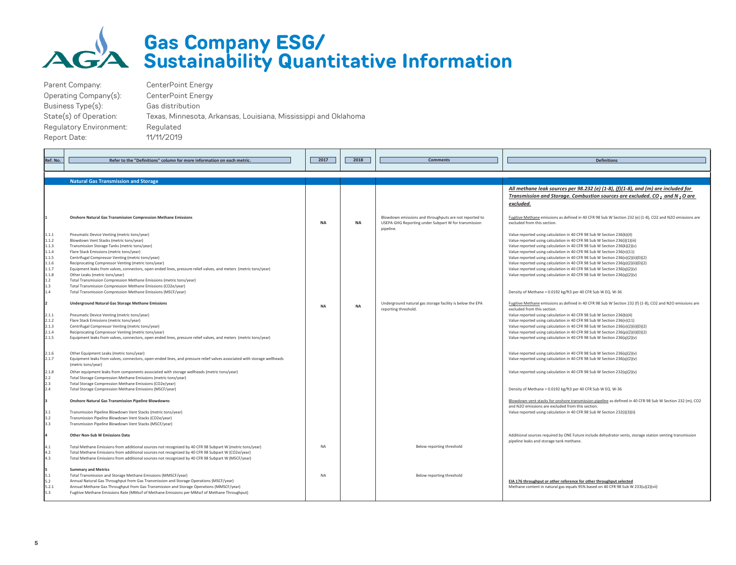

#### **Gas Company ESG/ Sustainability Quantitative Information**

| Parent Company:                | CenterPoint Energy                                              |
|--------------------------------|-----------------------------------------------------------------|
| Operating Company(s):          | CenterPoint Energy                                              |
| Business Type(s):              | Gas distribution                                                |
| State(s) of Operation:         | Texas, Minnesota, Arkansas, Louisiana, Mississippi and Oklahoma |
| <b>Requlatory Environment:</b> | Regulated                                                       |
| Report Date:                   | 11/11/2019                                                      |
|                                |                                                                 |

| Ref. No.       | Refer to the "Definitions" column for more information on each metric.                                                                        | 2017      | 2018      | <b>Comments</b>                                                                   | <b>Definitions</b>                                                                                                                                                                                                                                                                                 |
|----------------|-----------------------------------------------------------------------------------------------------------------------------------------------|-----------|-----------|-----------------------------------------------------------------------------------|----------------------------------------------------------------------------------------------------------------------------------------------------------------------------------------------------------------------------------------------------------------------------------------------------|
|                |                                                                                                                                               |           |           |                                                                                   |                                                                                                                                                                                                                                                                                                    |
|                |                                                                                                                                               |           |           |                                                                                   |                                                                                                                                                                                                                                                                                                    |
|                | <b>Natural Gas Transmission and Storage</b>                                                                                                   |           |           |                                                                                   |                                                                                                                                                                                                                                                                                                    |
|                | <b>Onshore Natural Gas Transmission Compression Methane Emissions</b>                                                                         |           |           | Blowdown emissions and throughputs are not reported to                            | All methane leak sources per 98.232 (e) $(1-8)$ , $(f)(1-8)$ , and $(m)$ are included for<br>Transmission and Storage. Combustion sources are excluded. CO, and N, O are<br>excluded.<br>Fugitive Methane emissions as defined in 40 CFR 98 Sub W Section 232 (e) (1-8), CO2 and N2O emissions are |
|                |                                                                                                                                               | <b>NA</b> | NA        | USEPA GHG Reporting under Subpart W for transmission<br>pipeline.                 | excluded from this section.                                                                                                                                                                                                                                                                        |
| 1.1.1          | Pneumatic Device Venting (metric tons/year)                                                                                                   |           |           |                                                                                   | Value reported using calculation in 40 CFR 98 Sub W Section 236(b)(4)                                                                                                                                                                                                                              |
| 1.1.2          | Blowdown Vent Stacks (metric tons/year)                                                                                                       |           |           |                                                                                   | Value reported using calculation in 40 CFR 98 Sub W Section 236(i)(1)(iii)                                                                                                                                                                                                                         |
| 1.1.3          | Transmission Storage Tanks (metric tons/year)                                                                                                 |           |           |                                                                                   | Value reported using calculation in 40 CFR 98 Sub W Section 236(k)(2)(v)                                                                                                                                                                                                                           |
| 1.1.4          | Flare Stack Emissions (metric tons/year)                                                                                                      |           |           |                                                                                   | Value reported using calculation in 40 CFR 98 Sub W Section 236(n)(11)                                                                                                                                                                                                                             |
| 1.1.5          | Centrifugal Compressor Venting (metric tons/year)                                                                                             |           |           |                                                                                   | Value reported using calculation in 40 CFR 98 Sub W Section 236(o)(2)(ii)(D)(2)                                                                                                                                                                                                                    |
| 1.1.6          | Reciprocating Compressor Venting (metric tons/year)                                                                                           |           |           |                                                                                   | Value reported using calculation in 40 CFR 98 Sub W Section 236(p)(2)(ii)(D)(2)                                                                                                                                                                                                                    |
| 1.1.7          | Equipment leaks from valves, connectors, open ended lines, pressure relief valves, and meters (metric tons/year)                              |           |           |                                                                                   | Value reported using calculation in 40 CFR 98 Sub W Section 236(q)(2)(v)                                                                                                                                                                                                                           |
| 1.1.8          | Other Leaks (metric tons/year)                                                                                                                |           |           |                                                                                   | Value reported using calculation in 40 CFR 98 Sub W Section 236(q)(2)(v)                                                                                                                                                                                                                           |
| 1.2            | Total Transmission Compression Methane Emissions (metric tons/year)                                                                           |           |           |                                                                                   |                                                                                                                                                                                                                                                                                                    |
| 1.3            | Total Transmission Compression Methane Emissions (CO2e/year)                                                                                  |           |           |                                                                                   |                                                                                                                                                                                                                                                                                                    |
| 1.4            | Total Transmission Compression Methane Emissions (MSCF/year)                                                                                  |           |           |                                                                                   | Density of Methane = 0.0192 kg/ft3 per 40 CFR Sub W EQ. W-36                                                                                                                                                                                                                                       |
| I <sub>2</sub> | <b>Underground Natural Gas Storage Methane Emissions</b>                                                                                      | <b>NA</b> | <b>NA</b> | Underground natural gas storage facility is below the EPA<br>reporting threshold. | Fugitive Methane emissions as defined in 40 CFR 98 Sub W Section 232 (f) (1-8), CO2 and N2O emissions are<br>excluded from this section.                                                                                                                                                           |
| 2.1.1          | Pneumatic Device Venting (metric tons/year)                                                                                                   |           |           |                                                                                   | Value reported using calculation in 40 CFR 98 Sub W Section 236(b)(4)                                                                                                                                                                                                                              |
| 2.1.2          | Flare Stack Emissions (metric tons/year)                                                                                                      |           |           |                                                                                   | Value reported using calculation in 40 CFR 98 Sub W Section 236(n)(11)                                                                                                                                                                                                                             |
| 2.1.3          | Centrifugal Compressor Venting (metric tons/year)                                                                                             |           |           |                                                                                   | Value reported using calculation in 40 CFR 98 Sub W Section 236(o)(2)(ii)(D)(2)                                                                                                                                                                                                                    |
| 2.1.4          | Reciprocating Compressor Venting (metric tons/year)                                                                                           |           |           |                                                                                   | Value reported using calculation in 40 CFR 98 Sub W Section 236(p)(2)(ii)(D)(2)                                                                                                                                                                                                                    |
| 2.1.5          | Equipment leaks from valves, connectors, open ended lines, pressure relief valves, and meters (metric tons/year)                              |           |           |                                                                                   | Value reported using calculation in 40 CFR 98 Sub W Section 236(q)(2)(v)                                                                                                                                                                                                                           |
|                |                                                                                                                                               |           |           |                                                                                   |                                                                                                                                                                                                                                                                                                    |
| 2.1.6          | Other Equipment Leaks (metric tons/year)                                                                                                      |           |           |                                                                                   | Value reported using calculation in 40 CFR 98 Sub W Section 236(q)(2)(v)                                                                                                                                                                                                                           |
| 2.1.7          | Equipment leaks from valves, connectors, open-ended lines, and pressure relief valves associated with storage wellheads<br>(metric tons/year) |           |           |                                                                                   | Value reported using calculation in 40 CFR 98 Sub W Section 236(q)(2)(v)                                                                                                                                                                                                                           |
| 2.1.8          | Other equipment leaks from components associated with storage wellheads (metric tons/year)                                                    |           |           |                                                                                   | Value reported using calculation in 40 CFR 98 Sub W Section 232(q)(2)(v)                                                                                                                                                                                                                           |
| 2.2            | Total Storage Compression Methane Emissions (metric tons/year)                                                                                |           |           |                                                                                   |                                                                                                                                                                                                                                                                                                    |
| 2.3            | Total Storage Compression Methane Emissions (CO2e/year)                                                                                       |           |           |                                                                                   |                                                                                                                                                                                                                                                                                                    |
| 2.4            | Total Storage Compression Methane Emissions (MSCF/year)                                                                                       |           |           |                                                                                   | Density of Methane = 0.0192 kg/ft3 per 40 CFR Sub W EQ. W-36                                                                                                                                                                                                                                       |
| lз             | <b>Onshore Natural Gas Transmission Pipeline Blowdowns</b>                                                                                    |           |           |                                                                                   | Blowdown vent stacks for onshore transmission pipeline as defined in 40 CFR 98 Sub W Section 232 (m), CO2<br>and N2O emissions are excluded from this section.                                                                                                                                     |
| 3.1            | Transmission Pipeline Blowdown Vent Stacks (metric tons/year)                                                                                 |           |           |                                                                                   | Value reported using calculation in 40 CFR 98 Sub W Section 232(i)(3)(ii)                                                                                                                                                                                                                          |
| 3.2            | Transmission Pipeline Blowdown Vent Stacks (CO2e/year)                                                                                        |           |           |                                                                                   |                                                                                                                                                                                                                                                                                                    |
| 3.3            | Transmission Pipeline Blowdown Vent Stacks (MSCF/year)                                                                                        |           |           |                                                                                   |                                                                                                                                                                                                                                                                                                    |
| 4              | Other Non-Sub W Emissions Data                                                                                                                |           |           |                                                                                   | Additional sources required by ONE Future include dehydrator vents, storage station venting transmission<br>pipeline leaks and storage tank methane.                                                                                                                                               |
| 4.1            | Total Methane Emissions from additional sources not recognized by 40 CFR 98 Subpart W (metric tons/year)                                      | <b>NA</b> |           | Below reporting threshold                                                         |                                                                                                                                                                                                                                                                                                    |
| 4.2            | Total Methane Emissions from additional sources not recognized by 40 CFR 98 Subpart W (CO2e/year)                                             |           |           |                                                                                   |                                                                                                                                                                                                                                                                                                    |
| 4.3            | Total Methane Emissions from additional sources not recognized by 40 CFR 98 Subpart W (MSCF/year)                                             |           |           |                                                                                   |                                                                                                                                                                                                                                                                                                    |
| l5             | <b>Summary and Metrics</b>                                                                                                                    |           |           |                                                                                   |                                                                                                                                                                                                                                                                                                    |
| 5.1            | Total Transmission and Storage Methane Emissions (MMSCF/year)                                                                                 | <b>NA</b> |           | Below reporting threshold                                                         |                                                                                                                                                                                                                                                                                                    |
| 5.2            | Annual Natural Gas Throughput from Gas Transmission and Storage Operations (MSCF/year)                                                        |           |           |                                                                                   | EIA 176 throughput or other reference for other throughput selected                                                                                                                                                                                                                                |
| 5.2.1          | Annual Methane Gas Throughput from Gas Transmission and Storage Operations (MMSCF/year)                                                       |           |           |                                                                                   | Methane content in natural gas equals 95% based on 40 CFR 98 Sub W 233(u)(2)(vii)                                                                                                                                                                                                                  |
| 5.3            | Fugitive Methane Emissions Rate (MMscf of Methane Emissions per MMscf of Methane Throughput)                                                  |           |           |                                                                                   |                                                                                                                                                                                                                                                                                                    |
|                |                                                                                                                                               |           |           |                                                                                   |                                                                                                                                                                                                                                                                                                    |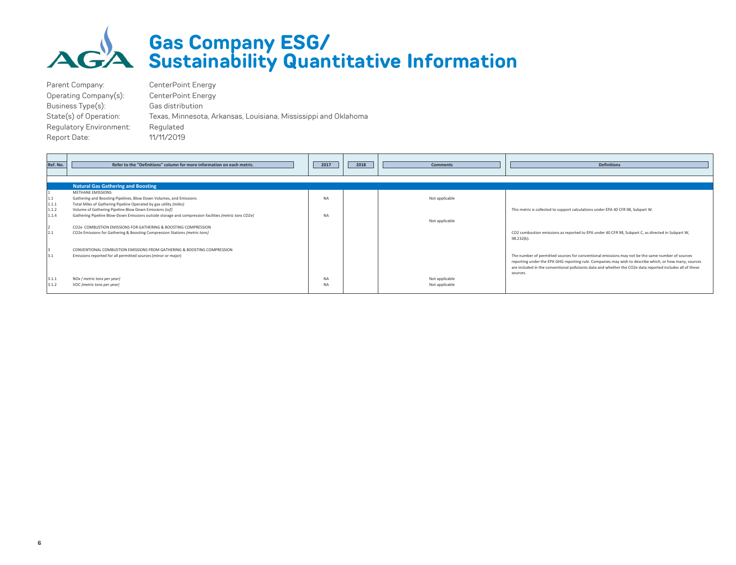

#### **Gas Company ESG/ Sustainability Quantitative Information**

Parent Company: CenterPoint Energy Operating Company(s): CenterPoint Energy Business Type(s): Gas distribution State(s) of Operation: Texas, Minnesota, Arkansas, Louisiana, Mississippi and Oklahoma Regulatory Environment: Regulated Report Date: 11/11/2019

| Ref. No. | Refer to the "Definitions" column for more information on each metric.                               | 2017      | 2018 | <b>Comments</b> | <b>Definitions</b>                                                                                              |
|----------|------------------------------------------------------------------------------------------------------|-----------|------|-----------------|-----------------------------------------------------------------------------------------------------------------|
|          |                                                                                                      |           |      |                 |                                                                                                                 |
|          | <b>Natural Gas Gathering and Boosting</b>                                                            |           |      |                 |                                                                                                                 |
|          | METHANE EMISSIONS                                                                                    |           |      |                 |                                                                                                                 |
| 1.1      | Gathering and Boosting Pipelines, Blow Down Volumes, and Emissions                                   | <b>NA</b> |      | Not applicable  |                                                                                                                 |
| 1.1.1    | Total Miles of Gathering Pipeline Operated by gas utility (miles)                                    |           |      |                 |                                                                                                                 |
| 1.1.2    | Volume of Gathering Pipeline Blow Down Emissions (scf)                                               |           |      |                 | This metric is collected to support calculations under EPA 40 CFR 98, Subpart W.                                |
| 1.1.4    | Gathering Pipeline Blow-Down Emissions outside storage and compression facilities (metric tons CO2e) | <b>NA</b> |      |                 |                                                                                                                 |
|          |                                                                                                      |           |      | Not applicable  |                                                                                                                 |
|          | CO2e COMBUSTION EMISSIONS FOR GATHERING & BOOSTING COMPRESSION                                       |           |      |                 |                                                                                                                 |
| 2.1      | CO2e Emissions for Gathering & Boosting Compression Stations (metric tons)                           |           |      |                 | CO2 combustion emissions as reported to EPA under 40 CFR 98, Subpart C, as directed in Subpart W,<br>98.232(k). |
|          |                                                                                                      |           |      |                 |                                                                                                                 |
|          | CONVENTIONAL COMBUSTION EMISSIONS FROM GATHERING & BOOSTING COMPRESSION                              |           |      |                 |                                                                                                                 |
| 3.1      | Emissions reported for all permitted sources (minor or major)                                        |           |      |                 | The number of permitted sources for conventional emissions may not be the same number of sources                |
|          |                                                                                                      |           |      |                 | reporting under the EPA GHG reporting rule. Companies may wish to describe which, or how many, sources          |
|          |                                                                                                      |           |      |                 | are included in the conventional pollutants data and whether the CO2e data reported includes all of these       |
|          |                                                                                                      |           |      |                 | sources.                                                                                                        |
| 3.1.1    | NOx (metric tons per year)                                                                           | <b>NA</b> |      | Not applicable  |                                                                                                                 |
| 3.1.2    | VOC (metric tons per year)                                                                           | <b>NA</b> |      | Not applicable  |                                                                                                                 |
|          |                                                                                                      |           |      |                 |                                                                                                                 |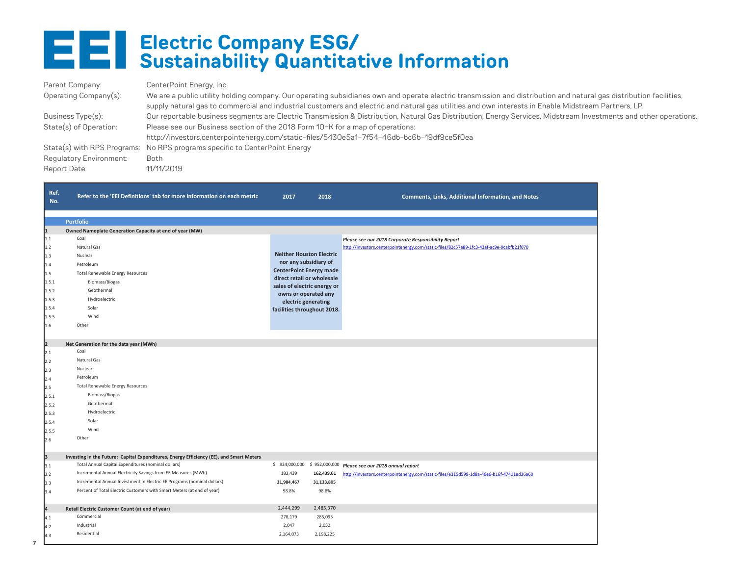### **Electric Company ESG/ Sustainability Quantitative Information**

| Parent Company:         | CenterPoint Energy, Inc.                                                                                                                                            |
|-------------------------|---------------------------------------------------------------------------------------------------------------------------------------------------------------------|
| Operating Company(s):   | We are a public utility holding company. Our operating subsidiaries own and operate electric transmission and distribution and natural gas distribution facilities, |
|                         | supply natural gas to commercial and industrial customers and electric and natural gas utilities and own interests in Enable Midstream Partners, LP.                |
| Business Type(s):       | Our reportable business segments are Electric Transmission & Distribution, Natural Gas Distribution, Energy Services, Midstream Investments and other operations.   |
| State(s) of Operation:  | Please see our Business section of the 2018 Form 10-K for a map of operations:                                                                                      |
|                         | http://investors.centerpointenergy.com/static-files/5430e5a1-7f54-46db-bc6b-19df9ce5f0ea                                                                            |
|                         | State(s) with RPS Programs: No RPS programs specific to CenterPoint Energy                                                                                          |
| Regulatory Environment: | Both                                                                                                                                                                |
| Report Date:            | 11/11/2019                                                                                                                                                          |

| Ref.<br>No. | Refer to the 'EEI Definitions' tab for more information on each metric                  | 2017                                                | 2018       | <b>Comments, Links, Additional Information, and Notes</b>                                |
|-------------|-----------------------------------------------------------------------------------------|-----------------------------------------------------|------------|------------------------------------------------------------------------------------------|
|             |                                                                                         |                                                     |            |                                                                                          |
| 11          | <b>Portfolio</b><br>Owned Nameplate Generation Capacity at end of year (MW)             |                                                     |            |                                                                                          |
| 1.1         | Coal                                                                                    |                                                     |            | Please see our 2018 Corporate Responsibility Report                                      |
| 1.2         | Natural Gas                                                                             |                                                     |            | http://investors.centerpointenergy.com/static-files/82c57a89-1fc3-43af-ac9e-9cabfb21f070 |
| 1.3         | Nuclear                                                                                 | <b>Neither Houston Electric</b>                     |            |                                                                                          |
| 1.4         | Petroleum                                                                               | nor any subsidiary of                               |            |                                                                                          |
| 1.5         | <b>Total Renewable Energy Resources</b>                                                 | <b>CenterPoint Energy made</b>                      |            |                                                                                          |
| 1.5.1       | Biomass/Biogas                                                                          | direct retail or wholesale                          |            |                                                                                          |
| 1.5.2       | Geothermal                                                                              | sales of electric energy or<br>owns or operated any |            |                                                                                          |
| 1.5.3       | Hydroelectric                                                                           | electric generating                                 |            |                                                                                          |
| 1.5.4       | Solar                                                                                   | facilities throughout 2018.                         |            |                                                                                          |
| 1.5.5       | Wind                                                                                    |                                                     |            |                                                                                          |
| 1.6         | Other                                                                                   |                                                     |            |                                                                                          |
|             |                                                                                         |                                                     |            |                                                                                          |
| 2           | Net Generation for the data year (MWh)                                                  |                                                     |            |                                                                                          |
| 2.1         | Coal                                                                                    |                                                     |            |                                                                                          |
| 2.2         | Natural Gas                                                                             |                                                     |            |                                                                                          |
| 2.3         | Nuclear                                                                                 |                                                     |            |                                                                                          |
| 2.4         | Petroleum                                                                               |                                                     |            |                                                                                          |
| 2.5         | <b>Total Renewable Energy Resources</b>                                                 |                                                     |            |                                                                                          |
| 2.5.1       | Biomass/Biogas                                                                          |                                                     |            |                                                                                          |
| 2.5.2       | Geothermal                                                                              |                                                     |            |                                                                                          |
| 2.5.3       | Hydroelectric                                                                           |                                                     |            |                                                                                          |
| 2.5.4       | Solar                                                                                   |                                                     |            |                                                                                          |
| 2.5.5       | Wind                                                                                    |                                                     |            |                                                                                          |
| 2.6         | Other                                                                                   |                                                     |            |                                                                                          |
| lз          | Investing in the Future: Capital Expenditures, Energy Efficiency (EE), and Smart Meters |                                                     |            |                                                                                          |
| 3.1         | Total Annual Capital Expenditures (nominal dollars)                                     | \$924,000,000                                       |            | \$952,000,000 Please see our 2018 annual report                                          |
| 3.2         | Incremental Annual Electricity Savings from EE Measures (MWh)                           | 183,439                                             | 162,439.61 | http://investors.centerpointenergy.com/static-files/e315d599-1d8a-46e6-b16f-47411ed36a60 |
| 3.3         | Incremental Annual Investment in Electric EE Programs (nominal dollars)                 | 31,984,467                                          | 31,133,805 |                                                                                          |
| 3.4         | Percent of Total Electric Customers with Smart Meters (at end of year)                  | 98.8%                                               | 98.8%      |                                                                                          |
|             |                                                                                         |                                                     |            |                                                                                          |
| l۵          | Retail Electric Customer Count (at end of year)                                         | 2,444,299                                           | 2,485,370  |                                                                                          |
| 4.1         | Commercial                                                                              | 278,179                                             | 285,093    |                                                                                          |
| 4.2         | Industrial                                                                              | 2,047                                               | 2,052      |                                                                                          |
| 4.3         | Residential                                                                             | 2,164,073                                           | 2,198,225  |                                                                                          |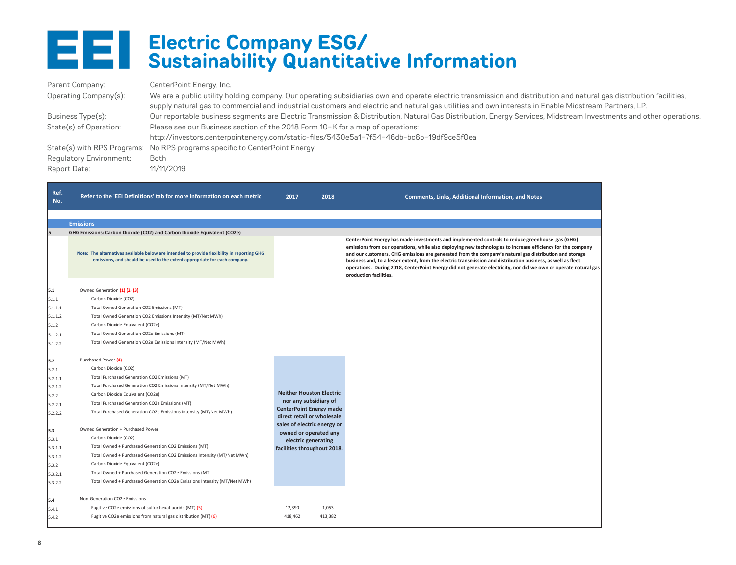

#### **Electric Company ESG/ Sustainability Quantitative Information**

| Parent Company:                | CenterPoint Energy, Inc.                                                                                                                                                                                                                                                                                                    |
|--------------------------------|-----------------------------------------------------------------------------------------------------------------------------------------------------------------------------------------------------------------------------------------------------------------------------------------------------------------------------|
| Operating Company(s):          | We are a public utility holding company. Our operating subsidiaries own and operate electric transmission and distribution and natural gas distribution facilities,<br>supply natural gas to commercial and industrial customers and electric and natural gas utilities and own interests in Enable Midstream Partners, LP. |
| Business Type(s):              | Our reportable business segments are Electric Transmission & Distribution, Natural Gas Distribution, Energy Services, Midstream Investments and other operations.                                                                                                                                                           |
| State(s) of Operation:         | Please see our Business section of the 2018 Form 10-K for a map of operations:                                                                                                                                                                                                                                              |
|                                | http://investors.centerpointenergy.com/static-files/5430e5a1-7f54-46db-bc6b-19df9ce5f0ea                                                                                                                                                                                                                                    |
|                                | State(s) with RPS Programs: No RPS programs specific to CenterPoint Energy                                                                                                                                                                                                                                                  |
| <b>Regulatory Environment:</b> | <b>Both</b>                                                                                                                                                                                                                                                                                                                 |
| Report Date:                   | 11/11/2019                                                                                                                                                                                                                                                                                                                  |

| Ref.<br>No. | Refer to the 'EEI Definitions' tab for more information on each metric                                                                                                   | 2017                                                    | 2018    | <b>Comments, Links, Additional Information, and Notes</b>                                                                                                                                                                                                                                                                                                                                                                                                                                                                                                                             |
|-------------|--------------------------------------------------------------------------------------------------------------------------------------------------------------------------|---------------------------------------------------------|---------|---------------------------------------------------------------------------------------------------------------------------------------------------------------------------------------------------------------------------------------------------------------------------------------------------------------------------------------------------------------------------------------------------------------------------------------------------------------------------------------------------------------------------------------------------------------------------------------|
|             | <b>Emissions</b>                                                                                                                                                         |                                                         |         |                                                                                                                                                                                                                                                                                                                                                                                                                                                                                                                                                                                       |
| l5          | GHG Emissions: Carbon Dioxide (CO2) and Carbon Dioxide Equivalent (CO2e)                                                                                                 |                                                         |         |                                                                                                                                                                                                                                                                                                                                                                                                                                                                                                                                                                                       |
|             | Note: The alternatives available below are intended to provide flexibility in reporting GHG<br>emissions, and should be used to the extent appropriate for each company. |                                                         |         | CenterPoint Energy has made investments and implemented controls to reduce greenhouse gas (GHG)<br>emissions from our operations, while also deploying new technologies to increase efficiency for the company<br>and our customers. GHG emissions are generated from the company's natural gas distribution and storage<br>business and, to a lesser extent, from the electric transmission and distribution business, as well as fleet<br>operations. During 2018, CenterPoint Energy did not generate electricity, nor did we own or operate natural gas<br>production facilities. |
| 5.1         | Owned Generation (1) (2) (3)                                                                                                                                             |                                                         |         |                                                                                                                                                                                                                                                                                                                                                                                                                                                                                                                                                                                       |
| 5.1.1       | Carbon Dioxide (CO2)                                                                                                                                                     |                                                         |         |                                                                                                                                                                                                                                                                                                                                                                                                                                                                                                                                                                                       |
| 5.1.1.1     | Total Owned Generation CO2 Emissions (MT)                                                                                                                                |                                                         |         |                                                                                                                                                                                                                                                                                                                                                                                                                                                                                                                                                                                       |
| 5.1.1.2     | Total Owned Generation CO2 Emissions Intensity (MT/Net MWh)                                                                                                              |                                                         |         |                                                                                                                                                                                                                                                                                                                                                                                                                                                                                                                                                                                       |
| 5.1.2       | Carbon Dioxide Equivalent (CO2e)                                                                                                                                         |                                                         |         |                                                                                                                                                                                                                                                                                                                                                                                                                                                                                                                                                                                       |
| 5.1.2.1     | Total Owned Generation CO2e Emissions (MT)                                                                                                                               |                                                         |         |                                                                                                                                                                                                                                                                                                                                                                                                                                                                                                                                                                                       |
| 5.1.2.2     | Total Owned Generation CO2e Emissions Intensity (MT/Net MWh)                                                                                                             |                                                         |         |                                                                                                                                                                                                                                                                                                                                                                                                                                                                                                                                                                                       |
| 5.2         | Purchased Power (4)                                                                                                                                                      |                                                         |         |                                                                                                                                                                                                                                                                                                                                                                                                                                                                                                                                                                                       |
| 5.2.1       | Carbon Dioxide (CO2)                                                                                                                                                     |                                                         |         |                                                                                                                                                                                                                                                                                                                                                                                                                                                                                                                                                                                       |
| 5.2.1.1     | Total Purchased Generation CO2 Emissions (MT)                                                                                                                            |                                                         |         |                                                                                                                                                                                                                                                                                                                                                                                                                                                                                                                                                                                       |
| 5.2.1.2     | Total Purchased Generation CO2 Emissions Intensity (MT/Net MWh)                                                                                                          |                                                         |         |                                                                                                                                                                                                                                                                                                                                                                                                                                                                                                                                                                                       |
| 5.2.2       | Carbon Dioxide Equivalent (CO2e)                                                                                                                                         | <b>Neither Houston Electric</b>                         |         |                                                                                                                                                                                                                                                                                                                                                                                                                                                                                                                                                                                       |
| 5.2.2.1     | Total Purchased Generation CO2e Emissions (MT)                                                                                                                           | nor any subsidiary of<br><b>CenterPoint Energy made</b> |         |                                                                                                                                                                                                                                                                                                                                                                                                                                                                                                                                                                                       |
| 5.2.2.2     | Total Purchased Generation CO2e Emissions Intensity (MT/Net MWh)                                                                                                         | direct retail or wholesale                              |         |                                                                                                                                                                                                                                                                                                                                                                                                                                                                                                                                                                                       |
| 5.3         | Owned Generation + Purchased Power                                                                                                                                       | sales of electric energy or<br>owned or operated any    |         |                                                                                                                                                                                                                                                                                                                                                                                                                                                                                                                                                                                       |
| 5.3.1       | Carbon Dioxide (CO2)                                                                                                                                                     | electric generating                                     |         |                                                                                                                                                                                                                                                                                                                                                                                                                                                                                                                                                                                       |
| 5.3.1.1     | Total Owned + Purchased Generation CO2 Emissions (MT)                                                                                                                    | facilities throughout 2018.                             |         |                                                                                                                                                                                                                                                                                                                                                                                                                                                                                                                                                                                       |
| 5.3.1.2     | Total Owned + Purchased Generation CO2 Emissions Intensity (MT/Net MWh)                                                                                                  |                                                         |         |                                                                                                                                                                                                                                                                                                                                                                                                                                                                                                                                                                                       |
| 5.3.2       | Carbon Dioxide Equivalent (CO2e)                                                                                                                                         |                                                         |         |                                                                                                                                                                                                                                                                                                                                                                                                                                                                                                                                                                                       |
| 5.3.2.1     | Total Owned + Purchased Generation CO2e Emissions (MT)                                                                                                                   |                                                         |         |                                                                                                                                                                                                                                                                                                                                                                                                                                                                                                                                                                                       |
| 5.3.2.2     | Total Owned + Purchased Generation CO2e Emissions Intensity (MT/Net MWh)                                                                                                 |                                                         |         |                                                                                                                                                                                                                                                                                                                                                                                                                                                                                                                                                                                       |
| 5.4         | Non-Generation CO2e Emissions                                                                                                                                            |                                                         |         |                                                                                                                                                                                                                                                                                                                                                                                                                                                                                                                                                                                       |
| 5.4.1       | Fugitive CO2e emissions of sulfur hexafluoride (MT) (5)                                                                                                                  | 12,390                                                  | 1,053   |                                                                                                                                                                                                                                                                                                                                                                                                                                                                                                                                                                                       |
| 5.4.2       | Fugitive CO2e emissions from natural gas distribution (MT) (6)                                                                                                           | 418,462                                                 | 413,382 |                                                                                                                                                                                                                                                                                                                                                                                                                                                                                                                                                                                       |